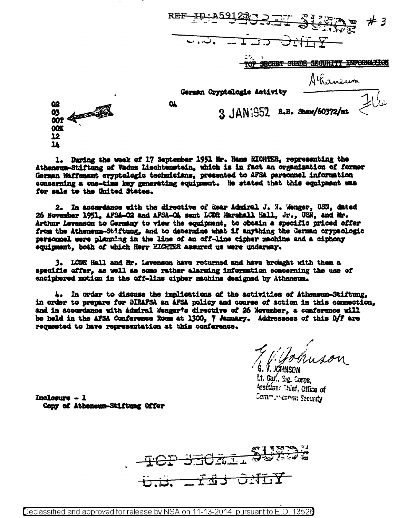TOP SECRET SUEDE GEGURITY INPORMATION Ahaneum German Cryptelegie Activity  $\alpha$ 3 JAN1952 R.H. Shaw/60372/mt

62 03<br>00T  $\overline{\text{cov}}$ 12  $\overline{\mathbf{r}}$ 

1. During the week of 17 September 1951 Nr. Hans EICHTER, representing the Atheneum-Stiftung of Vadus Liechtenstein, which is in fact an organization of former German Waffenamt cryptologic technicians, presented to AFSA personnel information concerning a one-time key generating equipment. He stated that this equipment was for sale to the United States.

2. In accordance with the directive of Rear Admiral J. N. Wenger, USN, dated 26 November 1951, AFSA-02 and AFSA-04 sent LCDR Marshall Hall, Jr., USN, and Mr. Arthur Levenson to Germany to view the equipment, to obtain a specific priced offer from the Atheneum-Stiftung, and to determine what if anything the German cryptologic personnel were planning in the line of an off-line cipher machine and a ciphony equinment, both of which Herr RICHTER assured us were underway.

3. LCDR Hall and Mr. Levenson have returned and have brought with them a specific offer, as well as some rather alarming information concerning the use of enciphered motion in the off-line cipher machine designed by Atheneum.

4. In order to discuss the implications of the activities of Atheneum-Stiftung. in order to prepare for BIRAFSA an AFSA policy and course of action in this connection, and in accordance with Admiral Wenger's directive of 26 November, a conference will be held in the AFSA Conference Room at 1300, 7 January. Addressees of this D/F are requested to have representation at this conference.

The Bonuson Š. V. JCHNSON.

Lt. Ca/., Sig. Carps, Assistan: Thief, Office of Communication Security

Inclosure - 1 Conv of Atheneum-Stiftung Offer